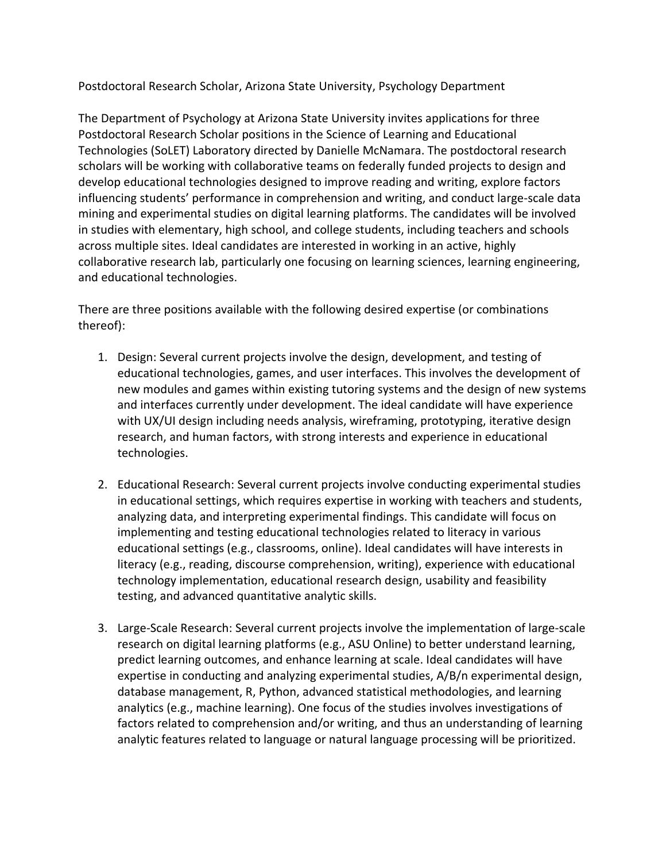Postdoctoral Research Scholar, Arizona State University, Psychology Department

The Department of Psychology at Arizona State University invites applications for three Postdoctoral Research Scholar positions in the Science of Learning and Educational Technologies (SoLET) Laboratory directed by Danielle McNamara. The postdoctoral research scholars will be working with collaborative teams on federally funded projects to design and develop educational technologies designed to improve reading and writing, explore factors influencing students' performance in comprehension and writing, and conduct large-scale data mining and experimental studies on digital learning platforms. The candidates will be involved in studies with elementary, high school, and college students, including teachers and schools across multiple sites. Ideal candidates are interested in working in an active, highly collaborative research lab, particularly one focusing on learning sciences, learning engineering, and educational technologies.

There are three positions available with the following desired expertise (or combinations thereof):

- 1. Design: Several current projects involve the design, development, and testing of educational technologies, games, and user interfaces. This involves the development of new modules and games within existing tutoring systems and the design of new systems and interfaces currently under development. The ideal candidate will have experience with UX/UI design including needs analysis, wireframing, prototyping, iterative design research, and human factors, with strong interests and experience in educational technologies.
- 2. Educational Research: Several current projects involve conducting experimental studies in educational settings, which requires expertise in working with teachers and students, analyzing data, and interpreting experimental findings. This candidate will focus on implementing and testing educational technologies related to literacy in various educational settings (e.g., classrooms, online). Ideal candidates will have interests in literacy (e.g., reading, discourse comprehension, writing), experience with educational technology implementation, educational research design, usability and feasibility testing, and advanced quantitative analytic skills.
- 3. Large-Scale Research: Several current projects involve the implementation of large-scale research on digital learning platforms (e.g., ASU Online) to better understand learning, predict learning outcomes, and enhance learning at scale. Ideal candidates will have expertise in conducting and analyzing experimental studies, A/B/n experimental design, database management, R, Python, advanced statistical methodologies, and learning analytics (e.g., machine learning). One focus of the studies involves investigations of factors related to comprehension and/or writing, and thus an understanding of learning analytic features related to language or natural language processing will be prioritized.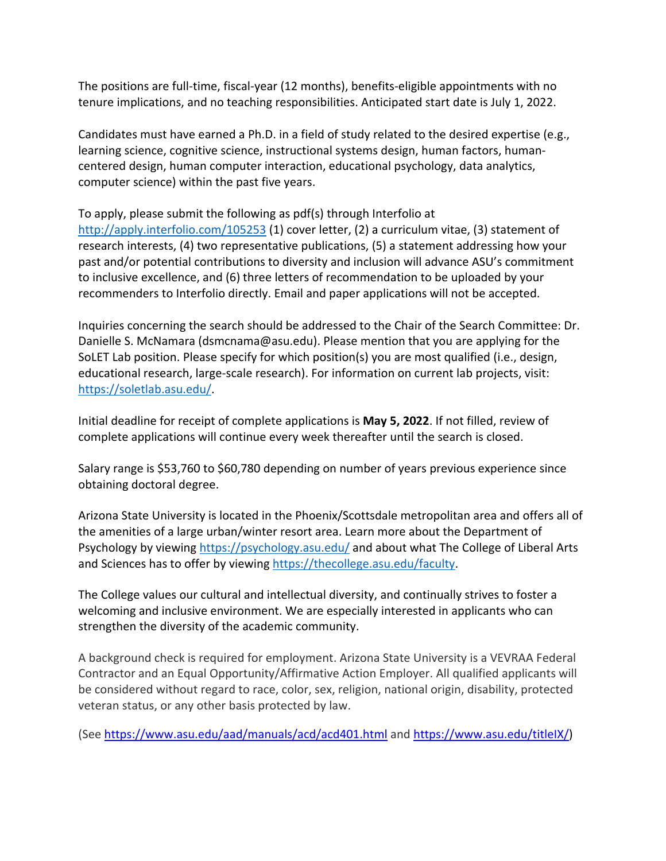The positions are full-time, fiscal-year (12 months), benefits-eligible appointments with no tenure implications, and no teaching responsibilities. Anticipated start date is July 1, 2022.

Candidates must have earned a Ph.D. in a field of study related to the desired expertise (e.g., learning science, cognitive science, instructional systems design, human factors, humancentered design, human computer interaction, educational psychology, data analytics, computer science) within the past five years.

To apply, please submit the following as pdf(s) through Interfolio at <http://apply.interfolio.com/105253> (1) cover letter, (2) a curriculum vitae, (3) statement of research interests, (4) two representative publications, (5) a statement addressing how your past and/or potential contributions to diversity and inclusion will advance ASU's commitment to inclusive excellence, and (6) three letters of recommendation to be uploaded by your recommenders to Interfolio directly. Email and paper applications will not be accepted.

Inquiries concerning the search should be addressed to the Chair of the Search Committee: Dr. Danielle S. McNamara (dsmcnama@asu.edu). Please mention that you are applying for the SoLET Lab position. Please specify for which position(s) you are most qualified (i.e., design, educational research, large-scale research). For information on current lab projects, visit: [https://soletlab.asu.edu/.](https://soletlab.asu.edu/)

Initial deadline for receipt of complete applications is **May 5, 2022**. If not filled, review of complete applications will continue every week thereafter until the search is closed.

Salary range is \$53,760 to \$60,780 depending on number of years previous experience since obtaining doctoral degree.

Arizona State University is located in the Phoenix/Scottsdale metropolitan area and offers all of the amenities of a large urban/winter resort area. Learn more about the Department of Psychology by viewing<https://psychology.asu.edu/> and about what The College of Liberal Arts and Sciences has to offer by viewing [https://thecollege.asu.edu/faculty.](https://thecollege.asu.edu/faculty)

The College values our cultural and intellectual diversity, and continually strives to foster a welcoming and inclusive environment. We are especially interested in applicants who can strengthen the diversity of the academic community.

A background check is required for employment. Arizona State University is a VEVRAA Federal Contractor and an Equal Opportunity/Affirmative Action Employer. All qualified applicants will be considered without regard to race, color, sex, religion, national origin, disability, protected veteran status, or any other basis protected by law.

(See <https://www.asu.edu/aad/manuals/acd/acd401.html> and [https://www.asu.edu/titleIX/\)](https://www.asu.edu/titleIX/)